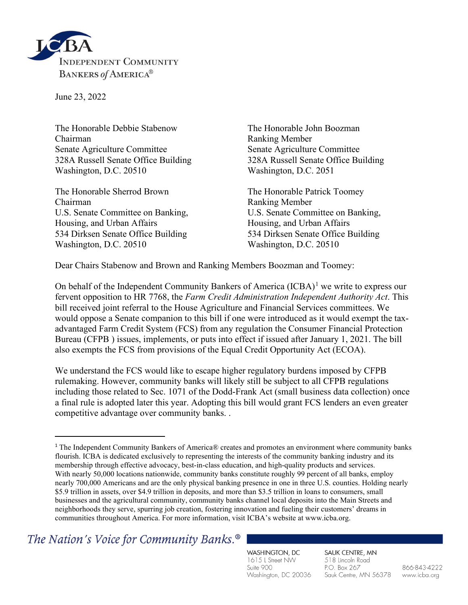

June 23, 2022

The Honorable Debbie Stabenow The Honorable John Boozman Chairman Ranking Member Senate Agriculture Committee Senate Agriculture Committee 328A Russell Senate Office Building 328A Russell Senate Office Building Washington, D.C. 20510 Washington, D.C. 2051

The Honorable Sherrod Brown The Honorable Patrick Toomey Chairman Ranking Member U.S. Senate Committee on Banking, <br>U.S. Senate Committee on Banking, Housing, and Urban Affairs **Housing, and Urban Affairs** 534 Dirksen Senate Office Building 534 Dirksen Senate Office Building Washington, D.C. 20510 Washington, D.C. 20510

Dear Chairs Stabenow and Brown and Ranking Members Boozman and Toomey:

On behalf of the Independent Community Bankers of America  $(ICBA)^1$  $(ICBA)^1$  we write to express our fervent opposition to HR 7768, the *Farm Credit Administration Independent Authority Act*. This bill received joint referral to the House Agriculture and Financial Services committees. We would oppose a Senate companion to this bill if one were introduced as it would exempt the taxadvantaged Farm Credit System (FCS) from any regulation the Consumer Financial Protection Bureau (CFPB ) issues, implements, or puts into effect if issued after January 1, 2021. The bill also exempts the FCS from provisions of the Equal Credit Opportunity Act (ECOA).

We understand the FCS would like to escape higher regulatory burdens imposed by CFPB rulemaking. However, community banks will likely still be subject to all CFPB regulations including those related to Sec. 1071 of the Dodd-Frank Act (small business data collection) once a final rule is adopted later this year. Adopting this bill would grant FCS lenders an even greater competitive advantage over community banks. .

The Nation's Voice for Community Banks.<sup>®</sup>

WASHINGTON, DC 1615 L Street NW Suite 900 Washington, DC 20036 SAUK CENTRE, MN 518 Lincoln Road P.O. Box 267 Sauk Centre, MN 56378

866-843-4222 www.icba.org

<span id="page-0-0"></span><sup>1</sup> The Independent Community Bankers of America® creates and promotes an environment where community banks flourish. ICBA is dedicated exclusively to representing the interests of the community banking industry and its membership through effective advocacy, best-in-class education, and high-quality products and services. With nearly 50,000 locations nationwide, community banks constitute roughly 99 percent of all banks, employ nearly 700,000 Americans and are the only physical banking presence in one in three U.S. counties. Holding nearly \$5.9 trillion in assets, over \$4.9 trillion in deposits, and more than \$3.5 trillion in loans to consumers, small businesses and the agricultural community, community banks channel local deposits into the Main Streets and neighborhoods they serve, spurring job creation, fostering innovation and fueling their customers' dreams in communities throughout America. For more information, visit ICBA's website at www.icba.org.